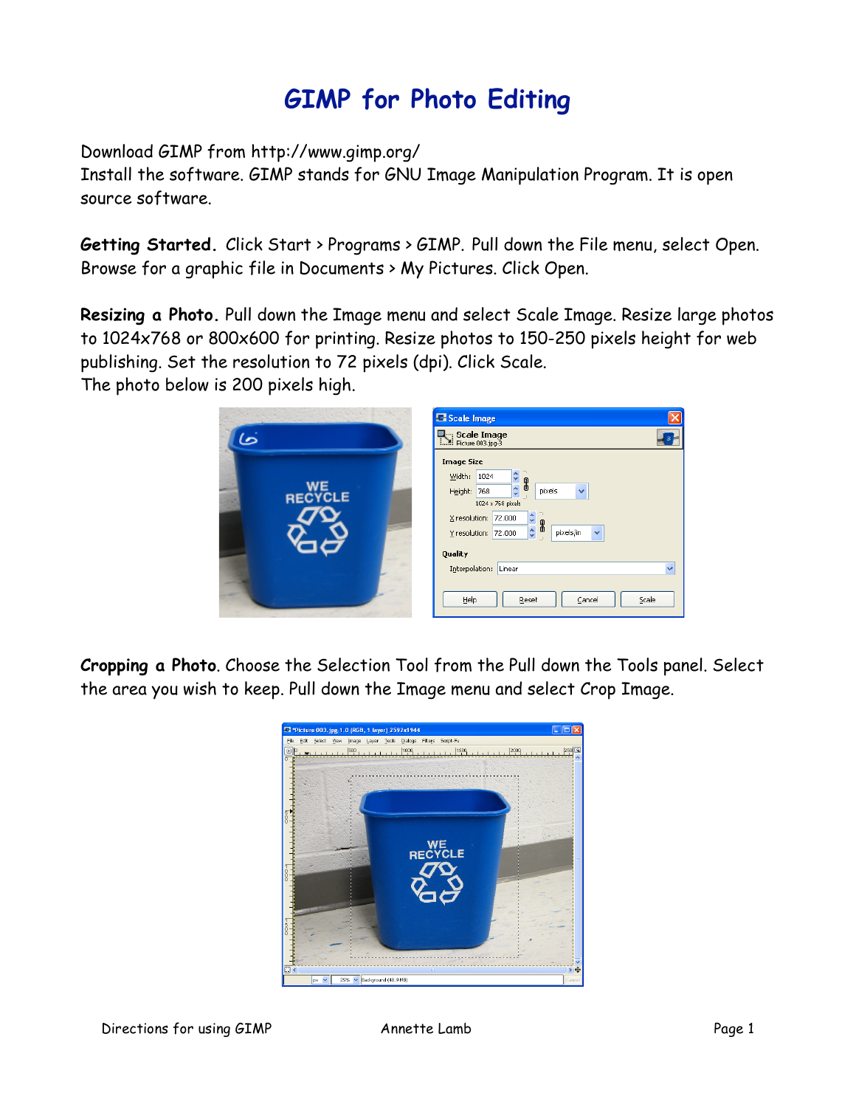## **GIMP for Photo Editing**

Download GIMP from http://www.gimp.org/

Install the software. GIMP stands for GNU Image Manipulation Program. It is open source software.

**Getting Started.** Click Start > Programs > GIMP. Pull down the File menu, select Open. Browse for a graphic file in Documents > My Pictures. Click Open.

**Resizing a Photo.** Pull down the Image menu and select Scale Image. Resize large photos to 1024x768 or 800x600 for printing. Resize photos to 150-250 pixels height for web publishing. Set the resolution to 72 pixels (dpi). Click Scale.

The photo below is 200 pixels high.



**Cropping a Photo**. Choose the Selection Tool from the Pull down the Tools panel. Select the area you wish to keep. Pull down the Image menu and select Crop Image.